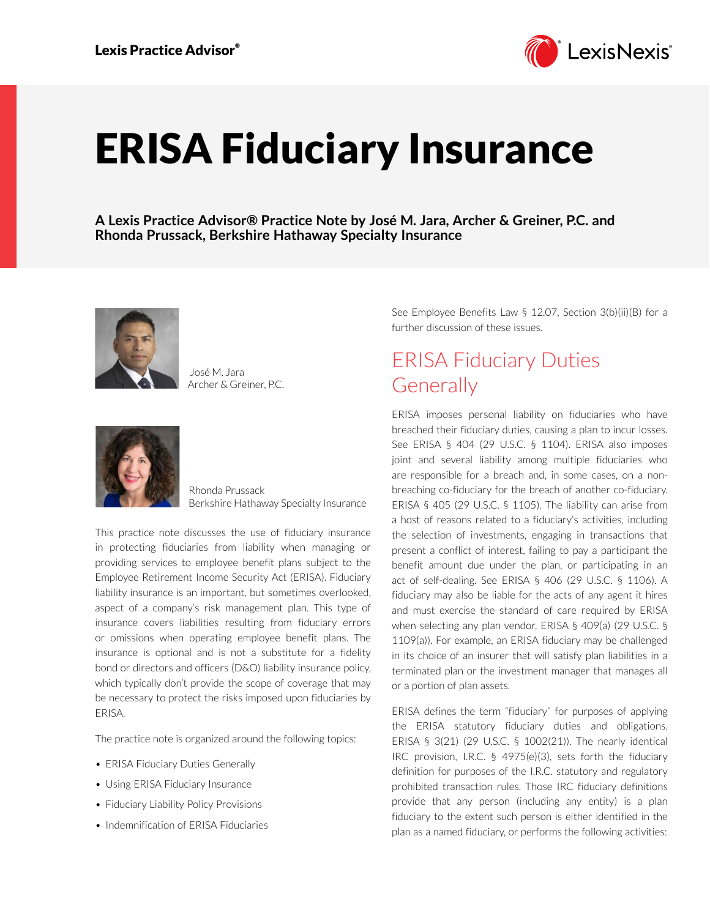

# ERISA Fiduciary Insurance

**A Lexis Practice Advisor® Practice Note by José M. Jara, Archer & Greiner, P.C. and Rhonda Prussack, Berkshire Hathaway Specialty Insurance**



 José M. Jara Archer & Greiner, P.C.



Rhonda Prussack Berkshire Hathaway Specialty Insurance

This practice note discusses the use of fiduciary insurance in protecting fiduciaries from liability when managing or providing services to employee benefit plans subject to the Employee Retirement Income Security Act (ERISA). Fiduciary liability insurance is an important, but sometimes overlooked, aspect of a company's risk management plan. This type of insurance covers liabilities resulting from fiduciary errors or omissions when operating employee benefit plans. The insurance is optional and is not a substitute for a fidelity bond or directors and officers (D&O) liability insurance policy, which typically don't provide the scope of coverage that may be necessary to protect the risks imposed upon fiduciaries by ERISA.

The practice note is organized around the following topics:

- ERISA Fiduciary Duties Generally
- Using ERISA Fiduciary Insurance
- Fiduciary Liability Policy Provisions
- Indemnification of ERISA Fiduciaries

See Employee Benefits Law § 12.07, Section 3(b)(ii)(B) for a further discussion of these issues.

# ERISA Fiduciary Duties **Generally**

ERISA imposes personal liability on fiduciaries who have breached their fiduciary duties, causing a plan to incur losses. See ERISA § 404 (29 U.S.C. § 1104). ERISA also imposes joint and several liability among multiple fiduciaries who are responsible for a breach and, in some cases, on a nonbreaching co-fiduciary for the breach of another co-fiduciary. ERISA § 405 (29 U.S.C. § 1105). The liability can arise from a host of reasons related to a fiduciary's activities, including the selection of investments, engaging in transactions that present a conflict of interest, failing to pay a participant the benefit amount due under the plan, or participating in an act of self-dealing. See ERISA § 406 (29 U.S.C. § 1106). A fiduciary may also be liable for the acts of any agent it hires and must exercise the standard of care required by ERISA when selecting any plan vendor. ERISA § 409(a) (29 U.S.C. § 1109(a)). For example, an ERISA fiduciary may be challenged in its choice of an insurer that will satisfy plan liabilities in a terminated plan or the investment manager that manages all or a portion of plan assets.

ERISA defines the term "fiduciary" for purposes of applying the ERISA statutory fiduciary duties and obligations. ERISA § 3(21) (29 U.S.C. § 1002(21)). The nearly identical IRC provision, I.R.C. § 4975(e)(3), sets forth the fiduciary definition for purposes of the I.R.C. statutory and regulatory prohibited transaction rules. Those IRC fiduciary definitions provide that any person (including any entity) is a plan fiduciary to the extent such person is either identified in the plan as a named fiduciary, or performs the following activities: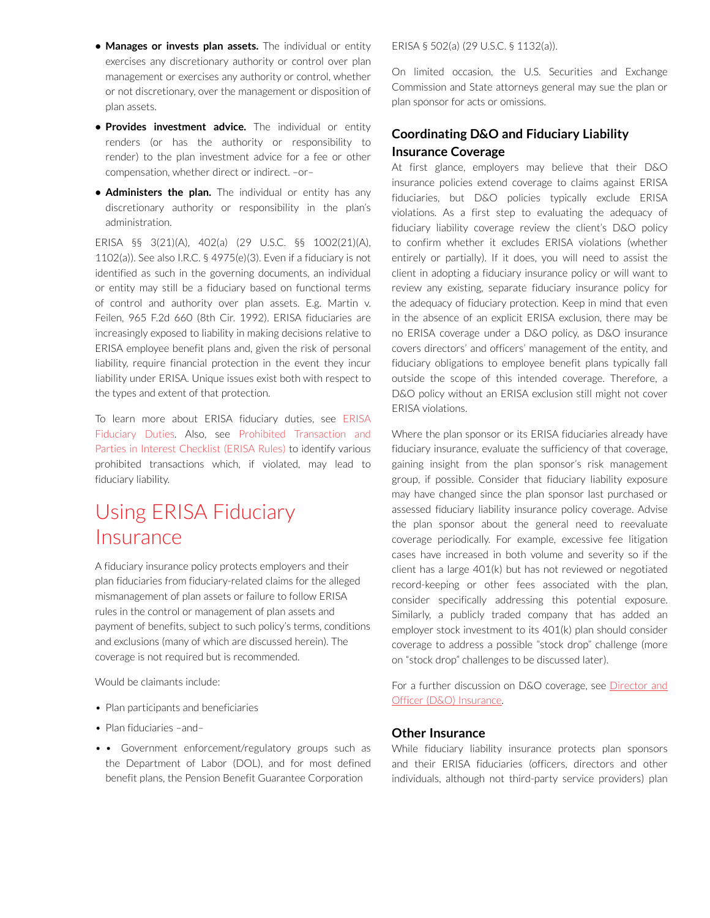- **• Manages or invests plan assets.** The individual or entity exercises any discretionary authority or control over plan management or exercises any authority or control, whether or not discretionary, over the management or disposition of plan assets.
- **• Provides investment advice.** The individual or entity renders (or has the authority or responsibility to render) to the plan investment advice for a fee or other compensation, whether direct or indirect. –or–
- **• Administers the plan.** The individual or entity has any discretionary authority or responsibility in the plan's administration.

ERISA §§ 3(21)(A), 402(a) (29 U.S.C. §§ 1002(21)(A), 1102(a)). See also I.R.C. § 4975(e)(3). Even if a fiduciary is not identified as such in the governing documents, an individual or entity may still be a fiduciary based on functional terms of control and authority over plan assets. E.g. Martin v. Feilen, 965 F.2d 660 (8th Cir. 1992). ERISA fiduciaries are increasingly exposed to liability in making decisions relative to ERISA employee benefit plans and, given the risk of personal liability, require financial protection in the event they incur liability under ERISA. Unique issues exist both with respect to the types and extent of that protection.

To learn more about ERISA fiduciary duties, see [ERISA](https://advance.lexis.com/open/document/lpadocument/?pdmfid=1000522&pddocfullpath=%2Fshared%2Fdocument%2Fanalytical-materials%2Furn%3AcontentItem%3A5PC6-JBC1-JW09-M1BS-00000-00&pddocid=urn%3AcontentItem%3A5PC6-JBC1-JW09-M1BS-00000-00&pdcontentcomponentid=231516&pdteaserkey=sr0&pditab=allpods&ecomp=f8sg&earg=sr0)  [Fiduciary Duties.](https://advance.lexis.com/open/document/lpadocument/?pdmfid=1000522&pddocfullpath=%2Fshared%2Fdocument%2Fanalytical-materials%2Furn%3AcontentItem%3A5PC6-JBC1-JW09-M1BS-00000-00&pddocid=urn%3AcontentItem%3A5PC6-JBC1-JW09-M1BS-00000-00&pdcontentcomponentid=231516&pdteaserkey=sr0&pditab=allpods&ecomp=f8sg&earg=sr0) Also, see [Prohibited Transaction and](https://advance.lexis.com/open/document/lpadocument/?pdmfid=1000522&pddocfullpath=%2Fshared%2Fdocument%2Fforms%2Furn%3AcontentItem%3A5PG0-3421-JNCK-22TW-00000-00&pddocid=urn%3AcontentItem%3A5PG0-3421-JNCK-22TW-00000-00&pdcontentcomponentid=231525&pdteaserkey=sr0&pditab=allpods&ecomp=f8sg&earg=sr0)  [Parties in Interest Checklist \(ERISA Rules\)](https://advance.lexis.com/open/document/lpadocument/?pdmfid=1000522&pddocfullpath=%2Fshared%2Fdocument%2Fforms%2Furn%3AcontentItem%3A5PG0-3421-JNCK-22TW-00000-00&pddocid=urn%3AcontentItem%3A5PG0-3421-JNCK-22TW-00000-00&pdcontentcomponentid=231525&pdteaserkey=sr0&pditab=allpods&ecomp=f8sg&earg=sr0) to identify various prohibited transactions which, if violated, may lead to fiduciary liability.

# Using ERISA Fiduciary **Insurance**

A fiduciary insurance policy protects employers and their plan fiduciaries from fiduciary-related claims for the alleged mismanagement of plan assets or failure to follow ERISA rules in the control or management of plan assets and payment of benefits, subject to such policy's terms, conditions and exclusions (many of which are discussed herein). The coverage is not required but is recommended.

Would be claimants include:

- Plan participants and beneficiaries
- Plan fiduciaries -and-
- • Government enforcement/regulatory groups such as the Department of Labor (DOL), and for most defined benefit plans, the Pension Benefit Guarantee Corporation

ERISA § 502(a) (29 U.S.C. § 1132(a)).

On limited occasion, the U.S. Securities and Exchange Commission and State attorneys general may sue the plan or plan sponsor for acts or omissions.

## **Coordinating D&O and Fiduciary Liability Insurance Coverage**

At first glance, employers may believe that their D&O insurance policies extend coverage to claims against ERISA fiduciaries, but D&O policies typically exclude ERISA violations. As a first step to evaluating the adequacy of fiduciary liability coverage review the client's D&O policy to confirm whether it excludes ERISA violations (whether entirely or partially). If it does, you will need to assist the client in adopting a fiduciary insurance policy or will want to review any existing, separate fiduciary insurance policy for the adequacy of fiduciary protection. Keep in mind that even in the absence of an explicit ERISA exclusion, there may be no ERISA coverage under a D&O policy, as D&O insurance covers directors' and officers' management of the entity, and fiduciary obligations to employee benefit plans typically fall outside the scope of this intended coverage. Therefore, a D&O policy without an ERISA exclusion still might not cover ERISA violations.

Where the plan sponsor or its ERISA fiduciaries already have fiduciary insurance, evaluate the sufficiency of that coverage, gaining insight from the plan sponsor's risk management group, if possible. Consider that fiduciary liability exposure may have changed since the plan sponsor last purchased or assessed fiduciary liability insurance policy coverage. Advise the plan sponsor about the general need to reevaluate coverage periodically. For example, excessive fee litigation cases have increased in both volume and severity so if the client has a large 401(k) but has not reviewed or negotiated record-keeping or other fees associated with the plan, consider specifically addressing this potential exposure. Similarly, a publicly traded company that has added an employer stock investment to its 401(k) plan should consider coverage to address a possible "stock drop" challenge (more on "stock drop" challenges to be discussed later).

For a further discussion on D&O coverage, see [Director and](https://advance.lexis.com/open/document/lpadocument/?pdmfid=1000522&pddocfullpath=%2Fshared%2Fdocument%2Fanalytical-materials%2Furn%3AcontentItem%3A5TK6-7HJ1-JFDC-X06N-00000-00&pddocid=urn%3AcontentItem%3A5TK6-7HJ1-JFDC-X06N-00000-00&pdcontentcomponentid=500764&pdteaserkey=sr0&pditab=allpods&ecomp=f8sg&earg=sr0)  [Officer \(D&O\) Insurance.](https://advance.lexis.com/open/document/lpadocument/?pdmfid=1000522&pddocfullpath=%2Fshared%2Fdocument%2Fanalytical-materials%2Furn%3AcontentItem%3A5TK6-7HJ1-JFDC-X06N-00000-00&pddocid=urn%3AcontentItem%3A5TK6-7HJ1-JFDC-X06N-00000-00&pdcontentcomponentid=500764&pdteaserkey=sr0&pditab=allpods&ecomp=f8sg&earg=sr0)

#### **Other Insurance**

While fiduciary liability insurance protects plan sponsors and their ERISA fiduciaries (officers, directors and other individuals, although not third-party service providers) plan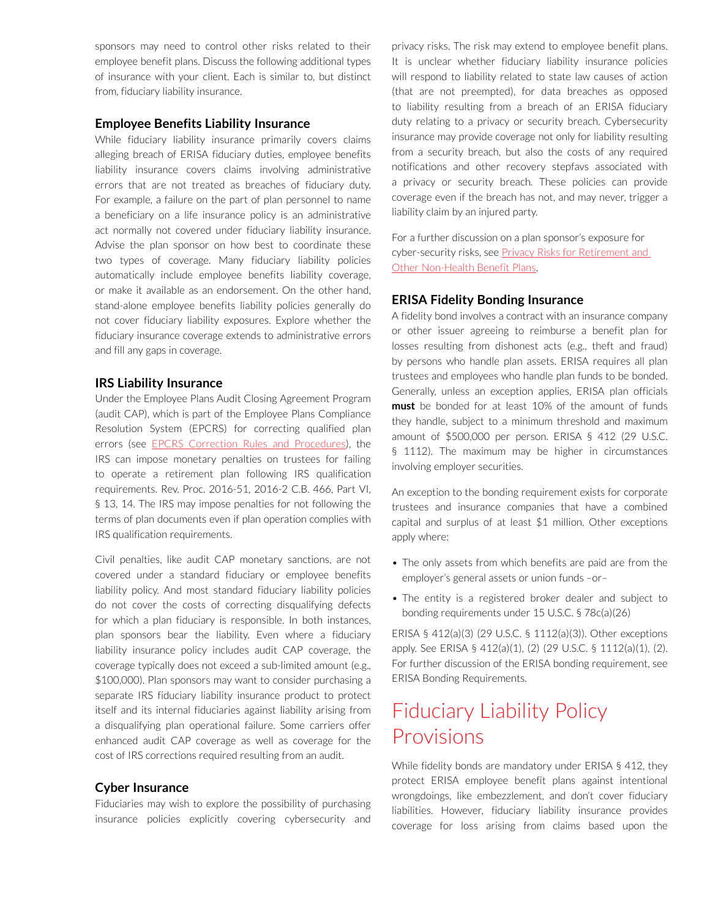sponsors may need to control other risks related to their employee benefit plans. Discuss the following additional types of insurance with your client. Each is similar to, but distinct from, fiduciary liability insurance.

#### **Employee Benefits Liability Insurance**

While fiduciary liability insurance primarily covers claims alleging breach of ERISA fiduciary duties, employee benefits liability insurance covers claims involving administrative errors that are not treated as breaches of fiduciary duty. For example, a failure on the part of plan personnel to name a beneficiary on a life insurance policy is an administrative act normally not covered under fiduciary liability insurance. Advise the plan sponsor on how best to coordinate these two types of coverage. Many fiduciary liability policies automatically include employee benefits liability coverage, or make it available as an endorsement. On the other hand, stand-alone employee benefits liability policies generally do not cover fiduciary liability exposures. Explore whether the fiduciary insurance coverage extends to administrative errors and fill any gaps in coverage.

#### **IRS Liability Insurance**

Under the Employee Plans Audit Closing Agreement Program (audit CAP), which is part of the Employee Plans Compliance Resolution System (EPCRS) for correcting qualified plan errors (see [EPCRS Correction Rules and Procedures](https://advance.lexis.com/open/document/lpadocument/?pdmfid=1000522&pddocfullpath=%2Fshared%2Fdocument%2Fanalytical-materials%2Furn%3AcontentItem%3A5P5N-1H61-F4GK-M1CH-00000-00&pddocid=urn%3AcontentItem%3A5P5N-1H61-F4GK-M1CH-00000-00&pdcontentcomponentid=231516&pdteaserkey=sr0&pditab=allpods&ecomp=f8sg&earg=sr0)), the IRS can impose monetary penalties on trustees for failing to operate a retirement plan following IRS qualification requirements. Rev. Proc. 2016-51, 2016-2 C.B. 466, Part VI, § 13, 14. The IRS may impose penalties for not following the terms of plan documents even if plan operation complies with IRS qualification requirements.

Civil penalties, like audit CAP monetary sanctions, are not covered under a standard fiduciary or employee benefits liability policy. And most standard fiduciary liability policies do not cover the costs of correcting disqualifying defects for which a plan fiduciary is responsible. In both instances, plan sponsors bear the liability. Even where a fiduciary liability insurance policy includes audit CAP coverage, the coverage typically does not exceed a sub-limited amount (e.g., \$100,000). Plan sponsors may want to consider purchasing a separate IRS fiduciary liability insurance product to protect itself and its internal fiduciaries against liability arising from a disqualifying plan operational failure. Some carriers offer enhanced audit CAP coverage as well as coverage for the cost of IRS corrections required resulting from an audit.

#### **Cyber Insurance**

Fiduciaries may wish to explore the possibility of purchasing insurance policies explicitly covering cybersecurity and privacy risks. The risk may extend to employee benefit plans. It is unclear whether fiduciary liability insurance policies will respond to liability related to state law causes of action (that are not preempted), for data breaches as opposed to liability resulting from a breach of an ERISA fiduciary duty relating to a privacy or security breach. Cybersecurity insurance may provide coverage not only for liability resulting from a security breach, but also the costs of any required notifications and other recovery stepfavs associated with a privacy or security breach. These policies can provide coverage even if the breach has not, and may never, trigger a liability claim by an injured party.

For a further discussion on a plan sponsor's exposure for cyber-security risks, see Privacy Risks for Retirement and [Other Non-Health Benefit Plans](https://advance.lexis.com/open/document/lpadocument/?pdmfid=1000522&pddocfullpath=%2Fshared%2Fdocument%2Fanalytical-materials%2Furn%3AcontentItem%3A5S8W-6M91-JNY7-X3BK-00000-00&pddocid=urn%3AcontentItem%3A5S8W-6M91-JNY7-X3BK-00000-00&pdcontentcomponentid=231516&pdteaserkey=sr0&pditab=allpods&ecomp=f8sg&earg=sr0).

#### **ERISA Fidelity Bonding Insurance**

A fidelity bond involves a contract with an insurance company or other issuer agreeing to reimburse a benefit plan for losses resulting from dishonest acts (e.g., theft and fraud) by persons who handle plan assets. ERISA requires all plan trustees and employees who handle plan funds to be bonded. Generally, unless an exception applies, ERISA plan officials **must** be bonded for at least 10% of the amount of funds they handle, subject to a minimum threshold and maximum amount of \$500,000 per person. ERISA § 412 (29 U.S.C. § 1112). The maximum may be higher in circumstances involving employer securities.

An exception to the bonding requirement exists for corporate trustees and insurance companies that have a combined capital and surplus of at least \$1 million. Other exceptions apply where:

- The only assets from which benefits are paid are from the employer's general assets or union funds –or–
- The entity is a registered broker dealer and subject to bonding requirements under 15 U.S.C. § 78c(a)(26)

ERISA § 412(a)(3) (29 U.S.C. § 1112(a)(3)). Other exceptions apply. See ERISA § 412(a)(1), (2) (29 U.S.C. § 1112(a)(1), (2). For further discussion of the ERISA bonding requirement, see ERISA Bonding Requirements.

## Fiduciary Liability Policy Provisions

While fidelity bonds are mandatory under ERISA § 412, they protect ERISA employee benefit plans against intentional wrongdoings, like embezzlement, and don't cover fiduciary liabilities. However, fiduciary liability insurance provides coverage for loss arising from claims based upon the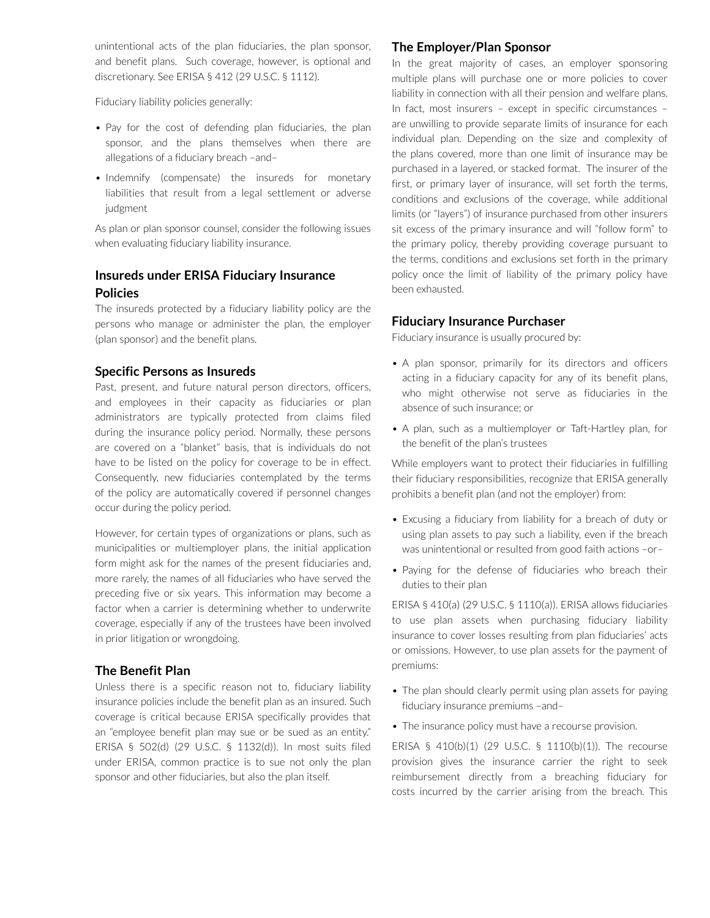unintentional acts of the plan fiduciaries, the plan sponsor, and benefit plans. Such coverage, however, is optional and discretionary. See ERISA § 412 (29 U.S.C. § 1112).

Fiduciary liability policies generally:

- Pay for the cost of defending plan fiduciaries, the plan sponsor, and the plans themselves when there are allegations of a fiduciary breach –and–
- Indemnify (compensate) the insureds for monetary liabilities that result from a legal settlement or adverse judgment

As plan or plan sponsor counsel, consider the following issues when evaluating fiduciary liability insurance.

## **Insureds under ERISA Fiduciary Insurance Policies**

The insureds protected by a fiduciary liability policy are the persons who manage or administer the plan, the employer (plan sponsor) and the benefit plans.

#### **Specific Persons as Insureds**

Past, present, and future natural person directors, officers, and employees in their capacity as fiduciaries or plan administrators are typically protected from claims filed during the insurance policy period. Normally, these persons are covered on a "blanket" basis, that is individuals do not have to be listed on the policy for coverage to be in effect. Consequently, new fiduciaries contemplated by the terms of the policy are automatically covered if personnel changes occur during the policy period.

However, for certain types of organizations or plans, such as municipalities or multiemployer plans, the initial application form might ask for the names of the present fiduciaries and, more rarely, the names of all fiduciaries who have served the preceding five or six years. This information may become a factor when a carrier is determining whether to underwrite coverage, especially if any of the trustees have been involved in prior litigation or wrongdoing.

#### **The Benefit Plan**

Unless there is a specific reason not to, fiduciary liability insurance policies include the benefit plan as an insured. Such coverage is critical because ERISA specifically provides that an "employee benefit plan may sue or be sued as an entity." ERISA § 502(d) (29 U.S.C. § 1132(d)). In most suits filed under ERISA, common practice is to sue not only the plan sponsor and other fiduciaries, but also the plan itself.

#### **The Employer/Plan Sponsor**

In the great majority of cases, an employer sponsoring multiple plans will purchase one or more policies to cover liability in connection with all their pension and welfare plans. In fact, most insurers – except in specific circumstances – are unwilling to provide separate limits of insurance for each individual plan. Depending on the size and complexity of the plans covered, more than one limit of insurance may be purchased in a layered, or stacked format. The insurer of the first, or primary layer of insurance, will set forth the terms, conditions and exclusions of the coverage, while additional limits (or "layers") of insurance purchased from other insurers sit excess of the primary insurance and will "follow form" to the primary policy, thereby providing coverage pursuant to the terms, conditions and exclusions set forth in the primary policy once the limit of liability of the primary policy have been exhausted.

#### **Fiduciary Insurance Purchaser**

Fiduciary insurance is usually procured by:

- A plan sponsor, primarily for its directors and officers acting in a fiduciary capacity for any of its benefit plans, who might otherwise not serve as fiduciaries in the absence of such insurance; or
- A plan, such as a multiemployer or Taft-Hartley plan, for the benefit of the plan's trustees

While employers want to protect their fiduciaries in fulfilling their fiduciary responsibilities, recognize that ERISA generally prohibits a benefit plan (and not the employer) from:

- Excusing a fiduciary from liability for a breach of duty or using plan assets to pay such a liability, even if the breach was unintentional or resulted from good faith actions –or–
- Paying for the defense of fiduciaries who breach their duties to their plan

ERISA § 410(a) (29 U.S.C. § 1110(a)). ERISA allows fiduciaries to use plan assets when purchasing fiduciary liability insurance to cover losses resulting from plan fiduciaries' acts or omissions. However, to use plan assets for the payment of premiums:

- The plan should clearly permit using plan assets for paying fiduciary insurance premiums –and–
- The insurance policy must have a recourse provision.

ERISA § 410(b)(1) (29 U.S.C. § 1110(b)(1)). The recourse provision gives the insurance carrier the right to seek reimbursement directly from a breaching fiduciary for costs incurred by the carrier arising from the breach. This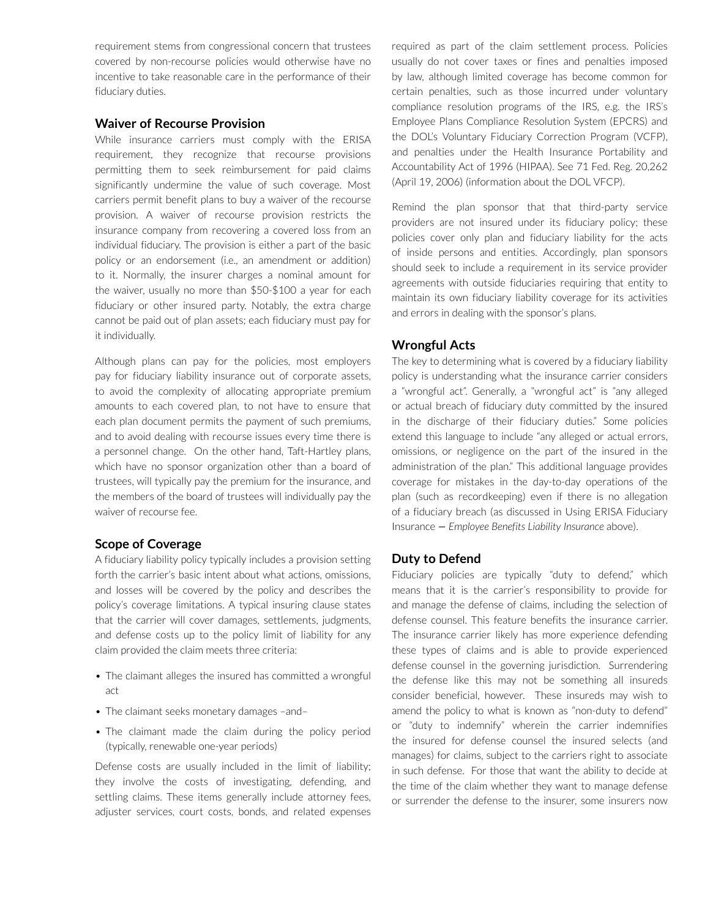requirement stems from congressional concern that trustees covered by non-recourse policies would otherwise have no incentive to take reasonable care in the performance of their fiduciary duties.

#### **Waiver of Recourse Provision**

While insurance carriers must comply with the ERISA requirement, they recognize that recourse provisions permitting them to seek reimbursement for paid claims significantly undermine the value of such coverage. Most carriers permit benefit plans to buy a waiver of the recourse provision. A waiver of recourse provision restricts the insurance company from recovering a covered loss from an individual fiduciary. The provision is either a part of the basic policy or an endorsement (i.e., an amendment or addition) to it. Normally, the insurer charges a nominal amount for the waiver, usually no more than \$50-\$100 a year for each fiduciary or other insured party. Notably, the extra charge cannot be paid out of plan assets; each fiduciary must pay for it individually.

Although plans can pay for the policies, most employers pay for fiduciary liability insurance out of corporate assets, to avoid the complexity of allocating appropriate premium amounts to each covered plan, to not have to ensure that each plan document permits the payment of such premiums, and to avoid dealing with recourse issues every time there is a personnel change. On the other hand, Taft-Hartley plans, which have no sponsor organization other than a board of trustees, will typically pay the premium for the insurance, and the members of the board of trustees will individually pay the waiver of recourse fee.

#### **Scope of Coverage**

A fiduciary liability policy typically includes a provision setting forth the carrier's basic intent about what actions, omissions, and losses will be covered by the policy and describes the policy's coverage limitations. A typical insuring clause states that the carrier will cover damages, settlements, judgments, and defense costs up to the policy limit of liability for any claim provided the claim meets three criteria:

- The claimant alleges the insured has committed a wrongful act
- The claimant seeks monetary damages -and-
- The claimant made the claim during the policy period (typically, renewable one-year periods)

Defense costs are usually included in the limit of liability; they involve the costs of investigating, defending, and settling claims. These items generally include attorney fees, adjuster services, court costs, bonds, and related expenses required as part of the claim settlement process. Policies usually do not cover taxes or fines and penalties imposed by law, although limited coverage has become common for certain penalties, such as those incurred under voluntary compliance resolution programs of the IRS, e.g. the IRS's Employee Plans Compliance Resolution System (EPCRS) and the DOL's Voluntary Fiduciary Correction Program (VCFP), and penalties under the Health Insurance Portability and Accountability Act of 1996 (HIPAA). See 71 Fed. Reg. 20,262 (April 19, 2006) (information about the DOL VFCP).

Remind the plan sponsor that that third-party service providers are not insured under its fiduciary policy; these policies cover only plan and fiduciary liability for the acts of inside persons and entities. Accordingly, plan sponsors should seek to include a requirement in its service provider agreements with outside fiduciaries requiring that entity to maintain its own fiduciary liability coverage for its activities and errors in dealing with the sponsor's plans.

## **Wrongful Acts**

The key to determining what is covered by a fiduciary liability policy is understanding what the insurance carrier considers a "wrongful act". Generally, a "wrongful act" is "any alleged or actual breach of fiduciary duty committed by the insured in the discharge of their fiduciary duties." Some policies extend this language to include "any alleged or actual errors, omissions, or negligence on the part of the insured in the administration of the plan." This additional language provides coverage for mistakes in the day-to-day operations of the plan (such as recordkeeping) even if there is no allegation of a fiduciary breach (as discussed in Using ERISA Fiduciary Insurance *— Employee Benefits Liability Insurance* above).

## **Duty to Defend**

Fiduciary policies are typically "duty to defend," which means that it is the carrier's responsibility to provide for and manage the defense of claims, including the selection of defense counsel. This feature benefits the insurance carrier. The insurance carrier likely has more experience defending these types of claims and is able to provide experienced defense counsel in the governing jurisdiction. Surrendering the defense like this may not be something all insureds consider beneficial, however. These insureds may wish to amend the policy to what is known as "non-duty to defend" or "duty to indemnify" wherein the carrier indemnifies the insured for defense counsel the insured selects (and manages) for claims, subject to the carriers right to associate in such defense. For those that want the ability to decide at the time of the claim whether they want to manage defense or surrender the defense to the insurer, some insurers now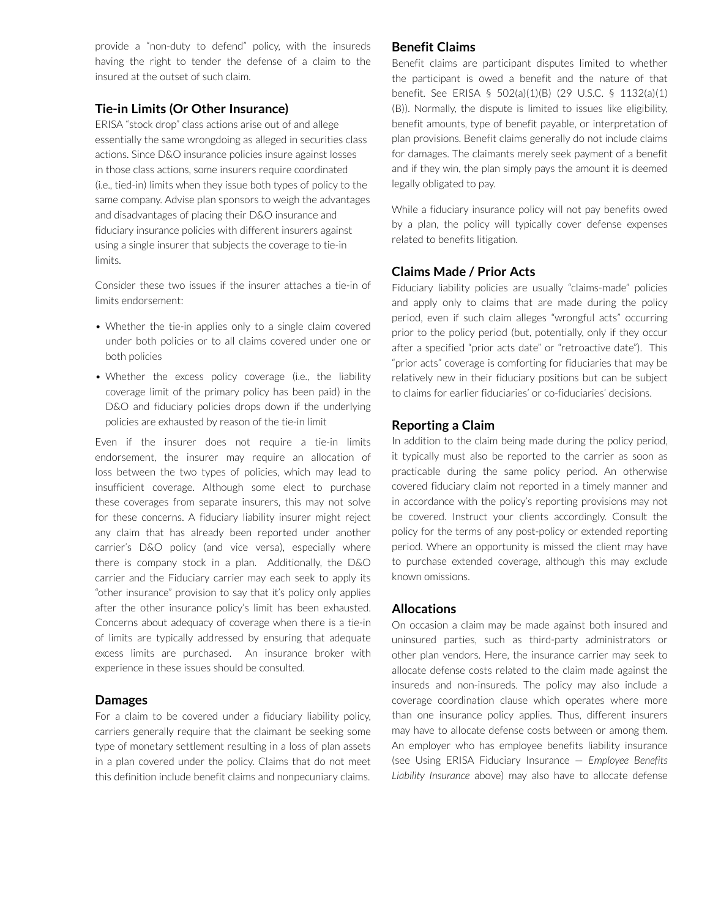provide a "non-duty to defend" policy, with the insureds having the right to tender the defense of a claim to the insured at the outset of such claim.

#### **Tie-in Limits (Or Other Insurance)**

ERISA "stock drop" class actions arise out of and allege essentially the same wrongdoing as alleged in securities class actions. Since D&O insurance policies insure against losses in those class actions, some insurers require coordinated (i.e., tied-in) limits when they issue both types of policy to the same company. Advise plan sponsors to weigh the advantages and disadvantages of placing their D&O insurance and fiduciary insurance policies with different insurers against using a single insurer that subjects the coverage to tie-in limits.

Consider these two issues if the insurer attaches a tie-in of limits endorsement:

- Whether the tie-in applies only to a single claim covered under both policies or to all claims covered under one or both policies
- Whether the excess policy coverage (i.e., the liability coverage limit of the primary policy has been paid) in the D&O and fiduciary policies drops down if the underlying policies are exhausted by reason of the tie-in limit

Even if the insurer does not require a tie-in limits endorsement, the insurer may require an allocation of loss between the two types of policies, which may lead to insufficient coverage. Although some elect to purchase these coverages from separate insurers, this may not solve for these concerns. A fiduciary liability insurer might reject any claim that has already been reported under another carrier's D&O policy (and vice versa), especially where there is company stock in a plan. Additionally, the D&O carrier and the Fiduciary carrier may each seek to apply its "other insurance" provision to say that it's policy only applies after the other insurance policy's limit has been exhausted. Concerns about adequacy of coverage when there is a tie-in of limits are typically addressed by ensuring that adequate excess limits are purchased. An insurance broker with experience in these issues should be consulted.

#### **Damages**

For a claim to be covered under a fiduciary liability policy, carriers generally require that the claimant be seeking some type of monetary settlement resulting in a loss of plan assets in a plan covered under the policy. Claims that do not meet this definition include benefit claims and nonpecuniary claims.

#### **Benefit Claims**

Benefit claims are participant disputes limited to whether the participant is owed a benefit and the nature of that benefit. See ERISA § 502(a)(1)(B) (29 U.S.C. § 1132(a)(1) (B)). Normally, the dispute is limited to issues like eligibility, benefit amounts, type of benefit payable, or interpretation of plan provisions. Benefit claims generally do not include claims for damages. The claimants merely seek payment of a benefit and if they win, the plan simply pays the amount it is deemed legally obligated to pay.

While a fiduciary insurance policy will not pay benefits owed by a plan, the policy will typically cover defense expenses related to benefits litigation.

#### **Claims Made / Prior Acts**

Fiduciary liability policies are usually "claims-made" policies and apply only to claims that are made during the policy period, even if such claim alleges "wrongful acts" occurring prior to the policy period (but, potentially, only if they occur after a specified "prior acts date" or "retroactive date"). This "prior acts" coverage is comforting for fiduciaries that may be relatively new in their fiduciary positions but can be subject to claims for earlier fiduciaries' or co-fiduciaries' decisions.

#### **Reporting a Claim**

In addition to the claim being made during the policy period, it typically must also be reported to the carrier as soon as practicable during the same policy period. An otherwise covered fiduciary claim not reported in a timely manner and in accordance with the policy's reporting provisions may not be covered. Instruct your clients accordingly. Consult the policy for the terms of any post-policy or extended reporting period. Where an opportunity is missed the client may have to purchase extended coverage, although this may exclude known omissions.

#### **Allocations**

On occasion a claim may be made against both insured and uninsured parties, such as third-party administrators or other plan vendors. Here, the insurance carrier may seek to allocate defense costs related to the claim made against the insureds and non-insureds. The policy may also include a coverage coordination clause which operates where more than one insurance policy applies. Thus, different insurers may have to allocate defense costs between or among them. An employer who has employee benefits liability insurance (see Using ERISA Fiduciary Insurance — *Employee Benefits Liability Insurance* above) may also have to allocate defense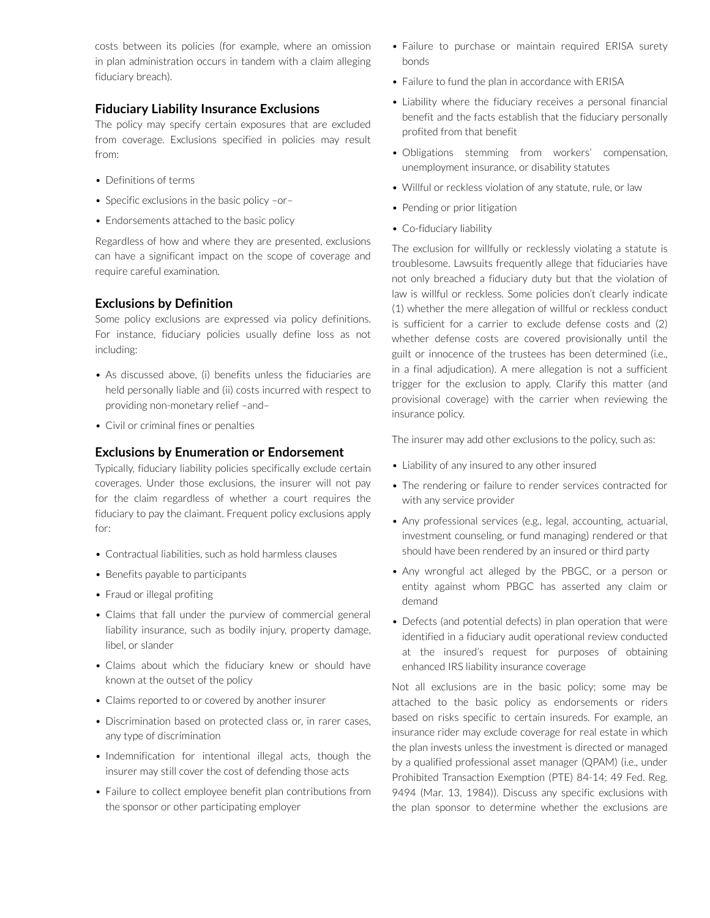costs between its policies (for example, where an omission in plan administration occurs in tandem with a claim alleging fiduciary breach).

#### **Fiduciary Liability Insurance Exclusions**

The policy may specify certain exposures that are excluded from coverage. Exclusions specified in policies may result from:

- Definitions of terms
- Specific exclusions in the basic policy -or-
- Endorsements attached to the basic policy

Regardless of how and where they are presented, exclusions can have a significant impact on the scope of coverage and require careful examination.

#### **Exclusions by Definition**

Some policy exclusions are expressed via policy definitions. For instance, fiduciary policies usually define loss as not including:

- As discussed above, (i) benefits unless the fiduciaries are held personally liable and (ii) costs incurred with respect to providing non-monetary relief –and–
- • Civil or criminal fines or penalties

#### **Exclusions by Enumeration or Endorsement**

Typically, fiduciary liability policies specifically exclude certain coverages. Under those exclusions, the insurer will not pay for the claim regardless of whether a court requires the fiduciary to pay the claimant. Frequent policy exclusions apply for:

- Contractual liabilities, such as hold harmless clauses
- Benefits payable to participants
- Fraud or illegal profiting
- Claims that fall under the purview of commercial general liability insurance, such as bodily injury, property damage, libel, or slander
- Claims about which the fiduciary knew or should have known at the outset of the policy
- Claims reported to or covered by another insurer
- Discrimination based on protected class or, in rarer cases, any type of discrimination
- Indemnification for intentional illegal acts, though the insurer may still cover the cost of defending those acts
- Failure to collect employee benefit plan contributions from the sponsor or other participating employer
- Failure to purchase or maintain required ERISA surety bonds
- Failure to fund the plan in accordance with ERISA
- Liability where the fiduciary receives a personal financial benefit and the facts establish that the fiduciary personally profited from that benefit
- • Obligations stemming from workers' compensation, unemployment insurance, or disability statutes
- Willful or reckless violation of any statute, rule, or law
- Pending or prior litigation
- Co-fiduciary liability

The exclusion for willfully or recklessly violating a statute is troublesome. Lawsuits frequently allege that fiduciaries have not only breached a fiduciary duty but that the violation of law is willful or reckless. Some policies don't clearly indicate (1) whether the mere allegation of willful or reckless conduct is sufficient for a carrier to exclude defense costs and (2) whether defense costs are covered provisionally until the guilt or innocence of the trustees has been determined (i.e., in a final adjudication). A mere allegation is not a sufficient trigger for the exclusion to apply. Clarify this matter (and provisional coverage) with the carrier when reviewing the insurance policy.

The insurer may add other exclusions to the policy, such as:

- Liability of any insured to any other insured
- The rendering or failure to render services contracted for with any service provider
- Any professional services (e.g., legal, accounting, actuarial, investment counseling, or fund managing) rendered or that should have been rendered by an insured or third party
- Any wrongful act alleged by the PBGC, or a person or entity against whom PBGC has asserted any claim or demand
- Defects (and potential defects) in plan operation that were identified in a fiduciary audit operational review conducted at the insured's request for purposes of obtaining enhanced IRS liability insurance coverage

Not all exclusions are in the basic policy; some may be attached to the basic policy as endorsements or riders based on risks specific to certain insureds. For example, an insurance rider may exclude coverage for real estate in which the plan invests unless the investment is directed or managed by a qualified professional asset manager (QPAM) (i.e., under Prohibited Transaction Exemption (PTE) 84-14; 49 Fed. Reg. 9494 (Mar. 13, 1984)). Discuss any specific exclusions with the plan sponsor to determine whether the exclusions are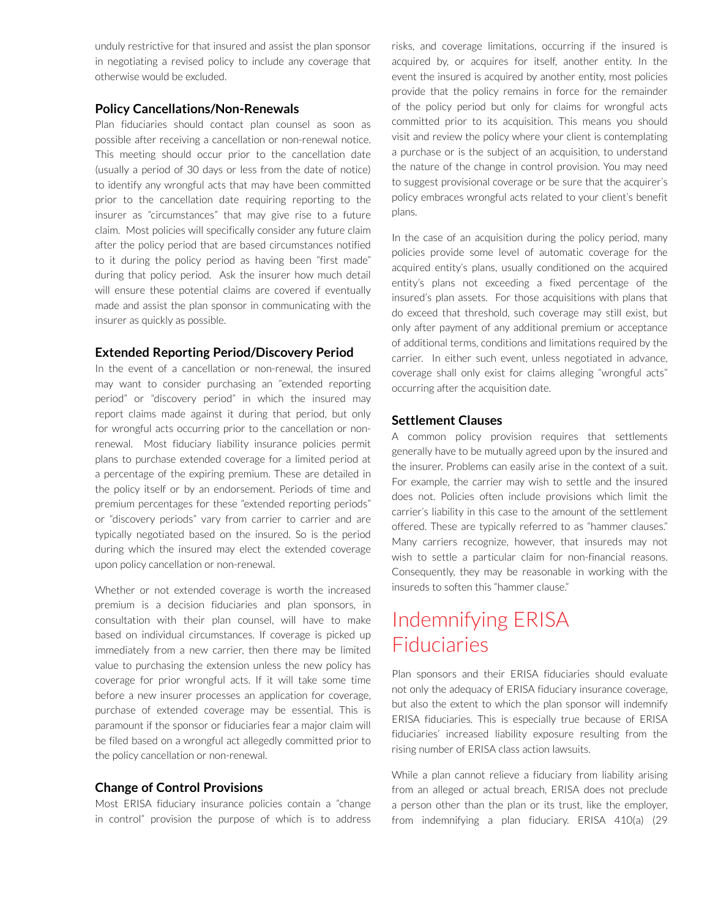unduly restrictive for that insured and assist the plan sponsor in negotiating a revised policy to include any coverage that otherwise would be excluded.

#### **Policy Cancellations/Non-Renewals**

Plan fiduciaries should contact plan counsel as soon as possible after receiving a cancellation or non-renewal notice. This meeting should occur prior to the cancellation date (usually a period of 30 days or less from the date of notice) to identify any wrongful acts that may have been committed prior to the cancellation date requiring reporting to the insurer as "circumstances" that may give rise to a future claim. Most policies will specifically consider any future claim after the policy period that are based circumstances notified to it during the policy period as having been "first made" during that policy period. Ask the insurer how much detail will ensure these potential claims are covered if eventually made and assist the plan sponsor in communicating with the insurer as quickly as possible.

#### **Extended Reporting Period/Discovery Period**

In the event of a cancellation or non-renewal, the insured may want to consider purchasing an "extended reporting period" or "discovery period" in which the insured may report claims made against it during that period, but only for wrongful acts occurring prior to the cancellation or nonrenewal. Most fiduciary liability insurance policies permit plans to purchase extended coverage for a limited period at a percentage of the expiring premium. These are detailed in the policy itself or by an endorsement. Periods of time and premium percentages for these "extended reporting periods" or "discovery periods" vary from carrier to carrier and are typically negotiated based on the insured. So is the period during which the insured may elect the extended coverage upon policy cancellation or non-renewal.

Whether or not extended coverage is worth the increased premium is a decision fiduciaries and plan sponsors, in consultation with their plan counsel, will have to make based on individual circumstances. If coverage is picked up immediately from a new carrier, then there may be limited value to purchasing the extension unless the new policy has coverage for prior wrongful acts. If it will take some time before a new insurer processes an application for coverage, purchase of extended coverage may be essential. This is paramount if the sponsor or fiduciaries fear a major claim will be filed based on a wrongful act allegedly committed prior to the policy cancellation or non-renewal.

#### **Change of Control Provisions**

Most ERISA fiduciary insurance policies contain a "change in control" provision the purpose of which is to address risks, and coverage limitations, occurring if the insured is acquired by, or acquires for itself, another entity. In the event the insured is acquired by another entity, most policies provide that the policy remains in force for the remainder of the policy period but only for claims for wrongful acts committed prior to its acquisition. This means you should visit and review the policy where your client is contemplating a purchase or is the subject of an acquisition, to understand the nature of the change in control provision. You may need to suggest provisional coverage or be sure that the acquirer's policy embraces wrongful acts related to your client's benefit plans.

In the case of an acquisition during the policy period, many policies provide some level of automatic coverage for the acquired entity's plans, usually conditioned on the acquired entity's plans not exceeding a fixed percentage of the insured's plan assets. For those acquisitions with plans that do exceed that threshold, such coverage may still exist, but only after payment of any additional premium or acceptance of additional terms, conditions and limitations required by the carrier. In either such event, unless negotiated in advance, coverage shall only exist for claims alleging "wrongful acts" occurring after the acquisition date.

#### **Settlement Clauses**

A common policy provision requires that settlements generally have to be mutually agreed upon by the insured and the insurer. Problems can easily arise in the context of a suit. For example, the carrier may wish to settle and the insured does not. Policies often include provisions which limit the carrier's liability in this case to the amount of the settlement offered. These are typically referred to as "hammer clauses." Many carriers recognize, however, that insureds may not wish to settle a particular claim for non-financial reasons. Consequently, they may be reasonable in working with the insureds to soften this "hammer clause."

# Indemnifying ERISA Fiduciaries

Plan sponsors and their ERISA fiduciaries should evaluate not only the adequacy of ERISA fiduciary insurance coverage, but also the extent to which the plan sponsor will indemnify ERISA fiduciaries. This is especially true because of ERISA fiduciaries' increased liability exposure resulting from the rising number of ERISA class action lawsuits.

While a plan cannot relieve a fiduciary from liability arising from an alleged or actual breach, ERISA does not preclude a person other than the plan or its trust, like the employer, from indemnifying a plan fiduciary. ERISA 410(a) (29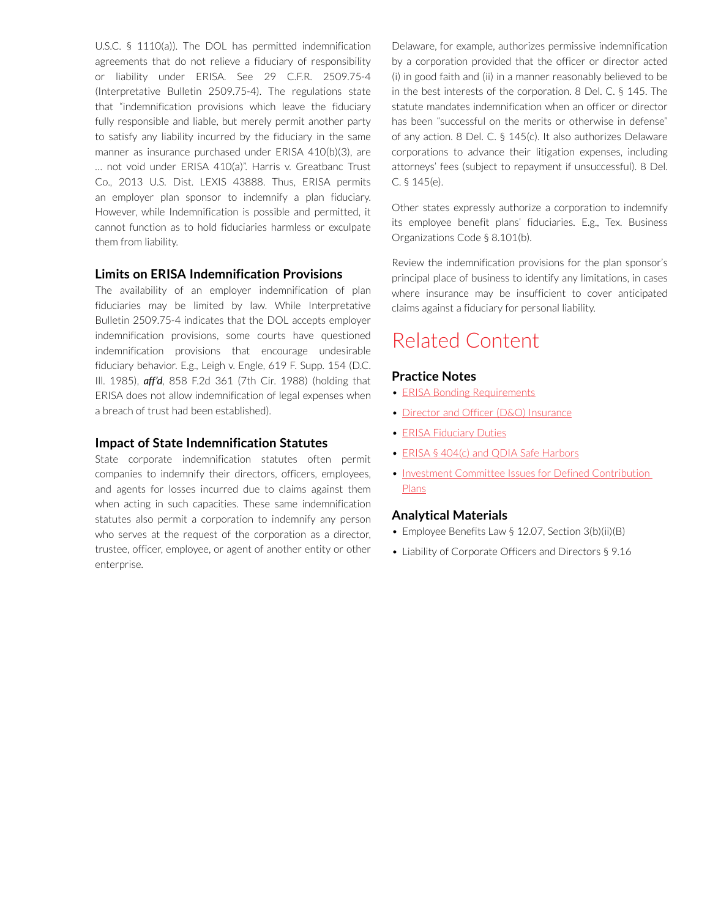U.S.C. § 1110(a)). The DOL has permitted indemnification agreements that do not relieve a fiduciary of responsibility or liability under ERISA. See 29 C.F.R. 2509.75-4 (Interpretative Bulletin 2509.75-4). The regulations state that "indemnification provisions which leave the fiduciary fully responsible and liable, but merely permit another party to satisfy any liability incurred by the fiduciary in the same manner as insurance purchased under ERISA 410(b)(3), are … not void under ERISA 410(a)". Harris v. Greatbanc Trust Co., 2013 U.S. Dist. LEXIS 43888. Thus, ERISA permits an employer plan sponsor to indemnify a plan fiduciary. However, while Indemnification is possible and permitted, it cannot function as to hold fiduciaries harmless or exculpate them from liability.

#### **Limits on ERISA Indemnification Provisions**

The availability of an employer indemnification of plan fiduciaries may be limited by law. While Interpretative Bulletin 2509.75-4 indicates that the DOL accepts employer indemnification provisions, some courts have questioned indemnification provisions that encourage undesirable fiduciary behavior. E.g., Leigh v. Engle, 619 F. Supp. 154 (D.C. Ill. 1985), *aff'd*, 858 F.2d 361 (7th Cir. 1988) (holding that ERISA does not allow indemnification of legal expenses when a breach of trust had been established).

#### **Impact of State Indemnification Statutes**

State corporate indemnification statutes often permit companies to indemnify their directors, officers, employees, and agents for losses incurred due to claims against them when acting in such capacities. These same indemnification statutes also permit a corporation to indemnify any person who serves at the request of the corporation as a director, trustee, officer, employee, or agent of another entity or other enterprise.

Delaware, for example, authorizes permissive indemnification by a corporation provided that the officer or director acted (i) in good faith and (ii) in a manner reasonably believed to be in the best interests of the corporation. 8 Del. C. § 145. The statute mandates indemnification when an officer or director has been "successful on the merits or otherwise in defense" of any action. 8 Del. C. § 145(c). It also authorizes Delaware corporations to advance their litigation expenses, including attorneys' fees (subject to repayment if unsuccessful). 8 Del. C. § 145(e).

Other states expressly authorize a corporation to indemnify its employee benefit plans' fiduciaries. E.g., Tex. Business Organizations Code § 8.101(b).

Review the indemnification provisions for the plan sponsor's principal place of business to identify any limitations, in cases where insurance may be insufficient to cover anticipated claims against a fiduciary for personal liability.

# Related Content

#### **Practice Notes**

- **[ERISA Bonding Requirements](https://advance.lexis.com/open/document/lpadocument/?pdmfid=1000522&pddocfullpath=%2Fshared%2Fdocument%2Fanalytical-materials%2Furn%3AcontentItem%3A5TK6-7HJ1-JFDC-X06G-00000-00&pddocid=urn%3AcontentItem%3A5TK6-7HJ1-JFDC-X06G-00000-00&pdcontentcomponentid=500764&pdteaserkey=sr0&pditab=allpods&ecomp=f8sg&earg=sr0)**
- [Director and Officer \(D&O\) Insurance](https://advance.lexis.com/open/document/lpadocument/?pdmfid=1000522&pddocfullpath=%2Fshared%2Fdocument%2Fanalytical-materials%2Furn%3AcontentItem%3A5TK6-7HJ1-JFDC-X06N-00000-00&pddocid=urn%3AcontentItem%3A5TK6-7HJ1-JFDC-X06N-00000-00&pdcontentcomponentid=500764&pdteaserkey=sr0&pditab=allpods&ecomp=f8sg&earg=sr0)
- [ERISA Fiduciary Duties](https://advance.lexis.com/open/document/lpadocument/?pdmfid=1000522&pddocfullpath=%2Fshared%2Fdocument%2Fanalytical-materials%2Furn%3AcontentItem%3A5PC6-JBC1-JW09-M1BS-00000-00&pddocid=urn%3AcontentItem%3A5PC6-JBC1-JW09-M1BS-00000-00&pdcontentcomponentid=231516&pdteaserkey=sr0&pditab=allpods&ecomp=f8sg&earg=sr0)
- [ERISA § 404\(c\) and QDIA Safe Harbors](https://advance.lexis.com/open/document/lpadocument/?pdmfid=1000522&pddocfullpath=%2Fshared%2Fdocument%2Fanalytical-materials%2Furn%3AcontentItem%3A5PC6-JBC1-JW09-M1C8-00000-00&pddocid=urn%3AcontentItem%3A5PC6-JBC1-JW09-M1C8-00000-00&pdcontentcomponentid=231516&pdteaserkey=sr0&pditab=allpods&ecomp=f8sg&earg=sr0)
- Investment Committee Issues for Defined Contribution [Plans](https://advance.lexis.com/open/document/lpadocument/?pdmfid=1000522&pddocfullpath=%2Fshared%2Fdocument%2Fanalytical-materials%2Furn%3AcontentItem%3A5PC6-JBC1-JW09-M1CM-00000-00&pddocid=urn%3AcontentItem%3A5PC6-JBC1-JW09-M1CM-00000-00&pdcontentcomponentid=231516&pdteaserkey=sr0&pditab=allpods&ecomp=f8sg&earg=sr0)

#### **Analytical Materials**

- Employee Benefits Law § 12.07, Section 3(b)(ii)(B)
- Liability of Corporate Officers and Directors § 9.16